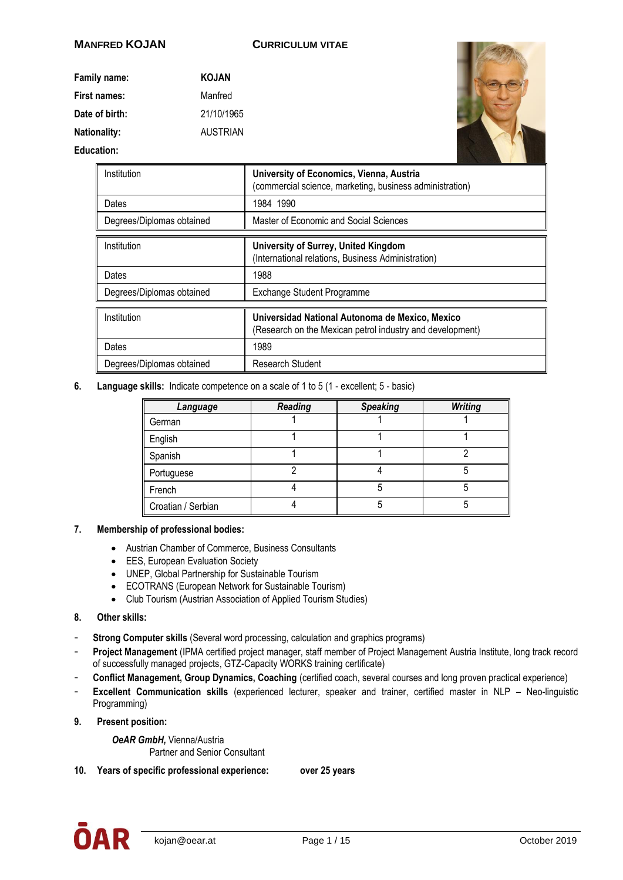#### **MANFRED KOJAN CURRICULUM VITAE**

| Family name:        | <b>KOJAN</b>    |
|---------------------|-----------------|
| First names:        | Manfred         |
| Date of birth:      | 21/10/1965      |
| <b>Nationality:</b> | <b>AUSTRIAN</b> |
|                     |                 |



## **Education:**

| Institution               | University of Economics, Vienna, Austria<br>(commercial science, marketing, business administration)         |
|---------------------------|--------------------------------------------------------------------------------------------------------------|
| Dates                     | 1984 1990                                                                                                    |
| Degrees/Diplomas obtained | Master of Economic and Social Sciences                                                                       |
| Institution               | University of Surrey, United Kingdom<br>(International relations, Business Administration)                   |
| Dates                     | 1988                                                                                                         |
| Degrees/Diplomas obtained | <b>Exchange Student Programme</b>                                                                            |
| Institution               | Universidad National Autonoma de Mexico, Mexico<br>(Research on the Mexican petrol industry and development) |
| Dates                     | 1989                                                                                                         |
| Degrees/Diplomas obtained | Research Student                                                                                             |

#### **6. Language skills:** Indicate competence on a scale of 1 to 5 (1 - excellent; 5 - basic)

| Language           | Reading | <b>Speaking</b> | <b>Writing</b> |
|--------------------|---------|-----------------|----------------|
| German             |         |                 |                |
| English            |         |                 |                |
| Spanish            |         |                 |                |
| Portuguese         |         |                 |                |
| French             |         |                 |                |
| Croatian / Serbian |         |                 |                |

#### **7. Membership of professional bodies:**

- Austrian Chamber of Commerce, Business Consultants
- EES, European Evaluation Society
- UNEP, Global Partnership for Sustainable Tourism
- ECOTRANS (European Network for Sustainable Tourism)
- Club Tourism (Austrian Association of Applied Tourism Studies)

## **8. Other skills:**

- **Strong Computer skills** (Several word processing, calculation and graphics programs)
- **Project Management** (IPMA certified project manager, staff member of Project Management Austria Institute, long track record of successfully managed projects, GTZ-Capacity WORKS training certificate)
- **Conflict Management, Group Dynamics, Coaching** (certified coach, several courses and long proven practical experience)
- **Excellent Communication skills** (experienced lecturer, speaker and trainer, certified master in NLP Neo-linguistic Programming)
- **9. Present position:**

*OeAR GmbH,* Vienna/Austria Partner and Senior Consultant

**10. Years of specific professional experience: over 25 years**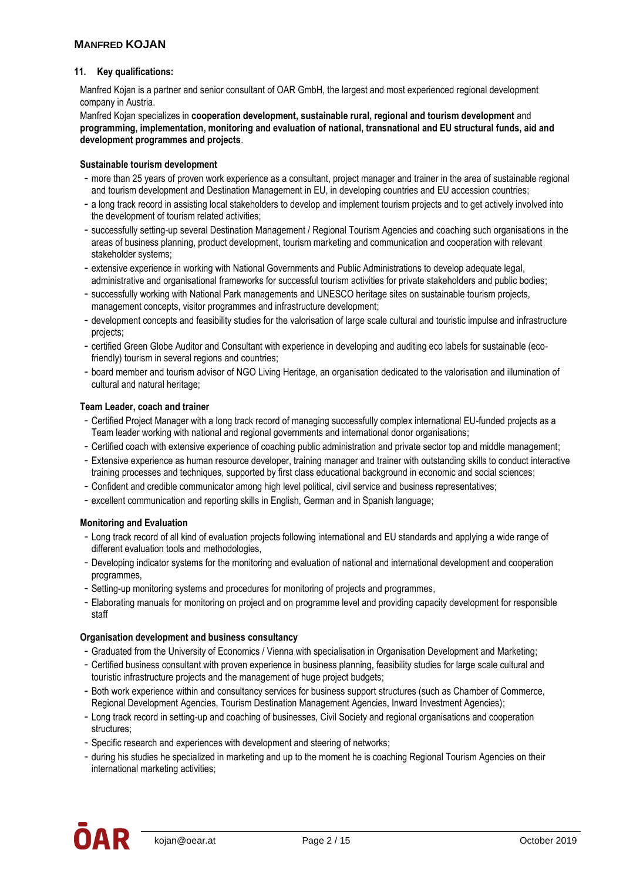### **11. Key qualifications:**

Manfred Kojan is a partner and senior consultant of OAR GmbH, the largest and most experienced regional development company in Austria.

Manfred Kojan specializes in **cooperation development, sustainable rural, regional and tourism development** and **programming, implementation, monitoring and evaluation of national, transnational and EU structural funds, aid and development programmes and projects**.

### **Sustainable tourism development**

- more than 25 years of proven work experience as a consultant, project manager and trainer in the area of sustainable regional and tourism development and Destination Management in EU, in developing countries and EU accession countries;
- a long track record in assisting local stakeholders to develop and implement tourism projects and to get actively involved into the development of tourism related activities;
- successfully setting-up several Destination Management / Regional Tourism Agencies and coaching such organisations in the areas of business planning, product development, tourism marketing and communication and cooperation with relevant stakeholder systems;
- extensive experience in working with National Governments and Public Administrations to develop adequate legal, administrative and organisational frameworks for successful tourism activities for private stakeholders and public bodies;
- successfully working with National Park managements and UNESCO heritage sites on sustainable tourism projects, management concepts, visitor programmes and infrastructure development;
- development concepts and feasibility studies for the valorisation of large scale cultural and touristic impulse and infrastructure projects;
- certified Green Globe Auditor and Consultant with experience in developing and auditing eco labels for sustainable (ecofriendly) tourism in several regions and countries;
- board member and tourism advisor of NGO Living Heritage, an organisation dedicated to the valorisation and illumination of cultural and natural heritage;

### **Team Leader, coach and trainer**

- Certified Project Manager with a long track record of managing successfully complex international EU-funded projects as a Team leader working with national and regional governments and international donor organisations;
- Certified coach with extensive experience of coaching public administration and private sector top and middle management;
- Extensive experience as human resource developer, training manager and trainer with outstanding skills to conduct interactive training processes and techniques, supported by first class educational background in economic and social sciences;
- Confident and credible communicator among high level political, civil service and business representatives;
- excellent communication and reporting skills in English, German and in Spanish language;

# **Monitoring and Evaluation**

- Long track record of all kind of evaluation projects following international and EU standards and applying a wide range of different evaluation tools and methodologies,
- Developing indicator systems for the monitoring and evaluation of national and international development and cooperation programmes,
- Setting-up monitoring systems and procedures for monitoring of projects and programmes,
- Elaborating manuals for monitoring on project and on programme level and providing capacity development for responsible staff

#### **Organisation development and business consultancy**

- Graduated from the University of Economics / Vienna with specialisation in Organisation Development and Marketing;
- Certified business consultant with proven experience in business planning, feasibility studies for large scale cultural and touristic infrastructure projects and the management of huge project budgets;
- Both work experience within and consultancy services for business support structures (such as Chamber of Commerce, Regional Development Agencies, Tourism Destination Management Agencies, Inward Investment Agencies);
- Long track record in setting-up and coaching of businesses, Civil Society and regional organisations and cooperation structures;
- Specific research and experiences with development and steering of networks;
- during his studies he specialized in marketing and up to the moment he is coaching Regional Tourism Agencies on their international marketing activities;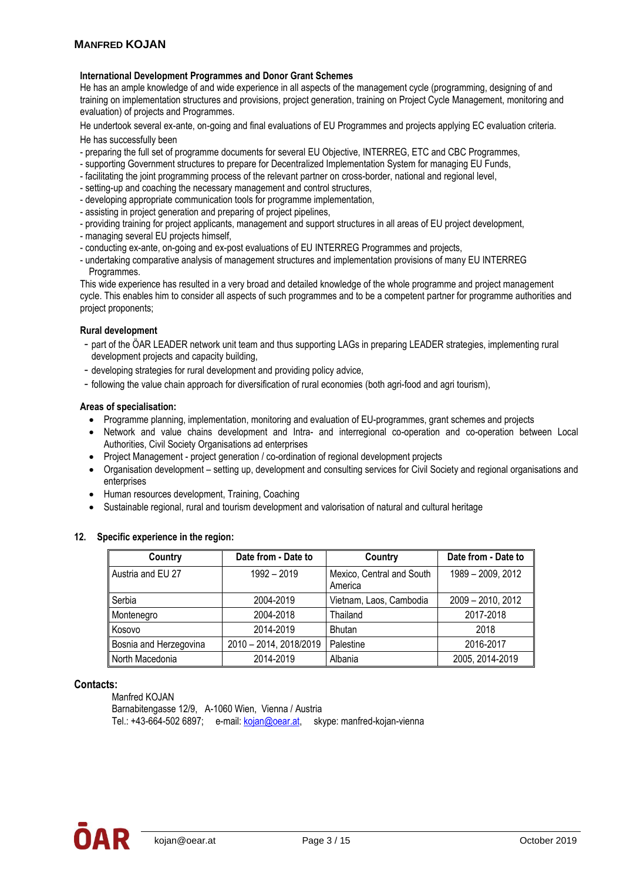## **International Development Programmes and Donor Grant Schemes**

He has an ample knowledge of and wide experience in all aspects of the management cycle (programming, designing of and training on implementation structures and provisions, project generation, training on Project Cycle Management, monitoring and evaluation) of projects and Programmes.

He undertook several ex-ante, on-going and final evaluations of EU Programmes and projects applying EC evaluation criteria. He has successfully been

- preparing the full set of programme documents for several EU Objective, INTERREG, ETC and CBC Programmes,
- supporting Government structures to prepare for Decentralized Implementation System for managing EU Funds,
- facilitating the joint programming process of the relevant partner on cross-border, national and regional level,
- setting-up and coaching the necessary management and control structures,
- developing appropriate communication tools for programme implementation,
- assisting in project generation and preparing of project pipelines,
- providing training for project applicants, management and support structures in all areas of EU project development,
- managing several EU projects himself,
- conducting ex-ante, on-going and ex-post evaluations of EU INTERREG Programmes and projects,
- undertaking comparative analysis of management structures and implementation provisions of many EU INTERREG Programmes.

This wide experience has resulted in a very broad and detailed knowledge of the whole programme and project management cycle. This enables him to consider all aspects of such programmes and to be a competent partner for programme authorities and project proponents;

#### **Rural development**

- part of the ÖAR LEADER network unit team and thus supporting LAGs in preparing LEADER strategies, implementing rural development projects and capacity building,
- developing strategies for rural development and providing policy advice,
- following the value chain approach for diversification of rural economies (both agri-food and agri tourism),

### **Areas of specialisation:**

- Programme planning, implementation, monitoring and evaluation of EU-programmes, grant schemes and projects
- Network and value chains development and Intra- and interregional co-operation and co-operation between Local Authorities, Civil Society Organisations ad enterprises
- Project Management project generation / co-ordination of regional development projects
- Organisation development setting up, development and consulting services for Civil Society and regional organisations and enterprises
- Human resources development, Training, Coaching
- Sustainable regional, rural and tourism development and valorisation of natural and cultural heritage

# **12. Specific experience in the region:**

| Country                | Date from - Date to    | Country                              | Date from - Date to |
|------------------------|------------------------|--------------------------------------|---------------------|
| Austria and EU 27      | $1992 - 2019$          | Mexico, Central and South<br>America | 1989 - 2009, 2012   |
| Serbia                 | 2004-2019              | Vietnam, Laos, Cambodia              | 2009 - 2010, 2012   |
| Montenegro             | 2004-2018              | Thailand                             | 2017-2018           |
| Kosovo                 | 2014-2019              | <b>Bhutan</b>                        | 2018                |
| Bosnia and Herzegovina | 2010 - 2014, 2018/2019 | Palestine                            | 2016-2017           |
| North Macedonia        | 2014-2019              | Albania                              | 2005, 2014-2019     |

# **Contacts:**

Manfred KOJAN Barnabitengasse 12/9, A-1060 Wien, Vienna / Austria Tel.: +43-664-502 6897; e-mail: [kojan@oear.at,](mailto:kojan@oear.at) skype: manfred-kojan-vienna

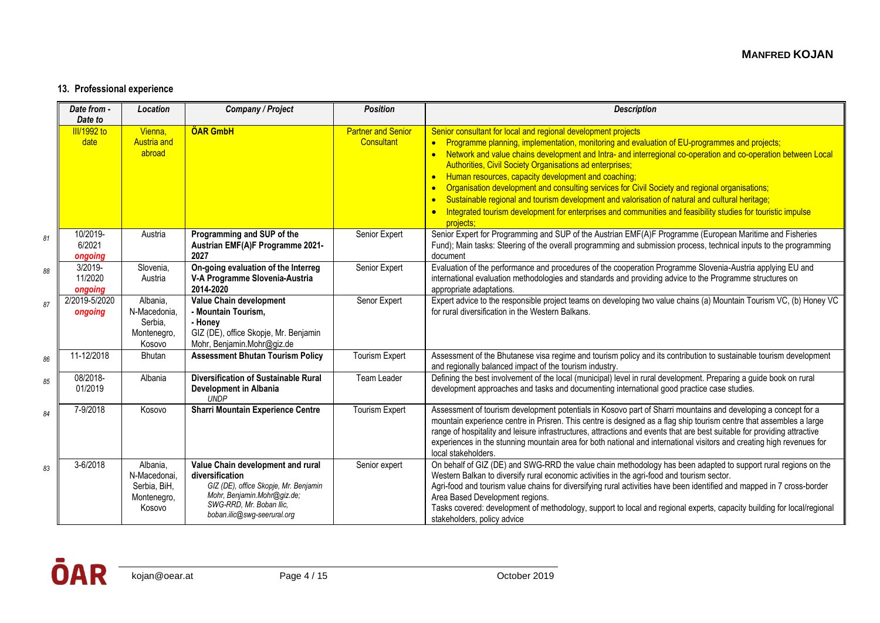# **13. Professional experience**

|    | Date from -<br>Date to        | Location                                                          | Company / Project                                                                                                                                                                       | <b>Position</b>                                | <b>Description</b>                                                                                                                                                                                                                                                                                                                                                                                                                                                                                                                                                                                                                                                                                                                                                                                     |
|----|-------------------------------|-------------------------------------------------------------------|-----------------------------------------------------------------------------------------------------------------------------------------------------------------------------------------|------------------------------------------------|--------------------------------------------------------------------------------------------------------------------------------------------------------------------------------------------------------------------------------------------------------------------------------------------------------------------------------------------------------------------------------------------------------------------------------------------------------------------------------------------------------------------------------------------------------------------------------------------------------------------------------------------------------------------------------------------------------------------------------------------------------------------------------------------------------|
|    | <b>III/1992 to</b><br>date    | Vienna,<br><b>Austria and</b><br>abroad                           | <b>ÖAR GmbH</b>                                                                                                                                                                         | <b>Partner and Senior</b><br><b>Consultant</b> | Senior consultant for local and regional development projects<br>• Programme planning, implementation, monitoring and evaluation of EU-programmes and projects;<br>Network and value chains development and Intra- and interregional co-operation and co-operation between Local<br>$\bullet$<br>Authorities, Civil Society Organisations ad enterprises;<br>Human resources, capacity development and coaching;<br>$\bullet$<br>Organisation development and consulting services for Civil Society and regional organisations;<br>$\bullet$<br>Sustainable regional and tourism development and valorisation of natural and cultural heritage;<br>$\bullet$<br>Integrated tourism development for enterprises and communities and feasibility studies for touristic impulse<br>$\bullet$<br>projects; |
| 81 | 10/2019-<br>6/2021<br>ongoing | Austria                                                           | Programming and SUP of the<br>Austrian EMF(A)F Programme 2021-<br>2027                                                                                                                  | Senior Expert                                  | Senior Expert for Programming and SUP of the Austrian EMF(A)F Programme (European Maritime and Fisheries<br>Fund); Main tasks: Steering of the overall programming and submission process, technical inputs to the programming<br>document                                                                                                                                                                                                                                                                                                                                                                                                                                                                                                                                                             |
| 88 | 3/2019-<br>11/2020<br>ongoing | Slovenia,<br>Austria                                              | On-going evaluation of the Interreg<br>V-A Programme Slovenia-Austria<br>2014-2020                                                                                                      | Senior Expert                                  | Evaluation of the performance and procedures of the cooperation Programme Slovenia-Austria applying EU and<br>international evaluation methodologies and standards and providing advice to the Programme structures on<br>appropriate adaptations.                                                                                                                                                                                                                                                                                                                                                                                                                                                                                                                                                     |
| 87 | 2/2019-5/2020<br>ongoing      | Albania,<br>N-Macedonia.<br>Serbia.<br>Montenegro,<br>Kosovo      | Value Chain development<br>- Mountain Tourism,<br>- Honey<br>GIZ (DE), office Skopje, Mr. Benjamin<br>Mohr, Benjamin.Mohr@giz.de                                                        | Senor Expert                                   | Expert advice to the responsible project teams on developing two value chains (a) Mountain Tourism VC, (b) Honey VC<br>for rural diversification in the Western Balkans.                                                                                                                                                                                                                                                                                                                                                                                                                                                                                                                                                                                                                               |
| 86 | 11-12/2018                    | Bhutan                                                            | <b>Assessment Bhutan Tourism Policy</b>                                                                                                                                                 | <b>Tourism Expert</b>                          | Assessment of the Bhutanese visa regime and tourism policy and its contribution to sustainable tourism development<br>and regionally balanced impact of the tourism industry.                                                                                                                                                                                                                                                                                                                                                                                                                                                                                                                                                                                                                          |
| 85 | 08/2018-<br>01/2019           | Albania                                                           | <b>Diversification of Sustainable Rural</b><br><b>Development in Albania</b><br><b>UNDP</b>                                                                                             | Team Leader                                    | Defining the best involvement of the local (municipal) level in rural development. Preparing a guide book on rural<br>development approaches and tasks and documenting international good practice case studies.                                                                                                                                                                                                                                                                                                                                                                                                                                                                                                                                                                                       |
| 84 | 7-9/2018                      | Kosovo                                                            | <b>Sharri Mountain Experience Centre</b>                                                                                                                                                | <b>Tourism Expert</b>                          | Assessment of tourism development potentials in Kosovo part of Sharri mountains and developing a concept for a<br>mountain experience centre in Prisren. This centre is designed as a flag ship tourism centre that assembles a large<br>range of hospitality and leisure infrastructures, attractions and events that are best suitable for providing attractive<br>experiences in the stunning mountain area for both national and international visitors and creating high revenues for<br>local stakeholders.                                                                                                                                                                                                                                                                                      |
| 83 | 3-6/2018                      | Albania,<br>N-Macedonai,<br>Serbia, BiH,<br>Montenegro,<br>Kosovo | Value Chain development and rural<br>diversification<br>GIZ (DE), office Skopje, Mr. Benjamin<br>Mohr, Benjamin.Mohr@giz.de;<br>SWG-RRD, Mr. Boban Ilic,<br>boban.ilic@swg-seerural.org | Senior expert                                  | On behalf of GIZ (DE) and SWG-RRD the value chain methodology has been adapted to support rural regions on the<br>Western Balkan to diversify rural economic activities in the agri-food and tourism sector.<br>Agri-food and tourism value chains for diversifying rural activities have been identified and mapped in 7 cross-border<br>Area Based Development regions.<br>Tasks covered: development of methodology, support to local and regional experts, capacity building for local/regional<br>stakeholders, policy advice                                                                                                                                                                                                                                                                     |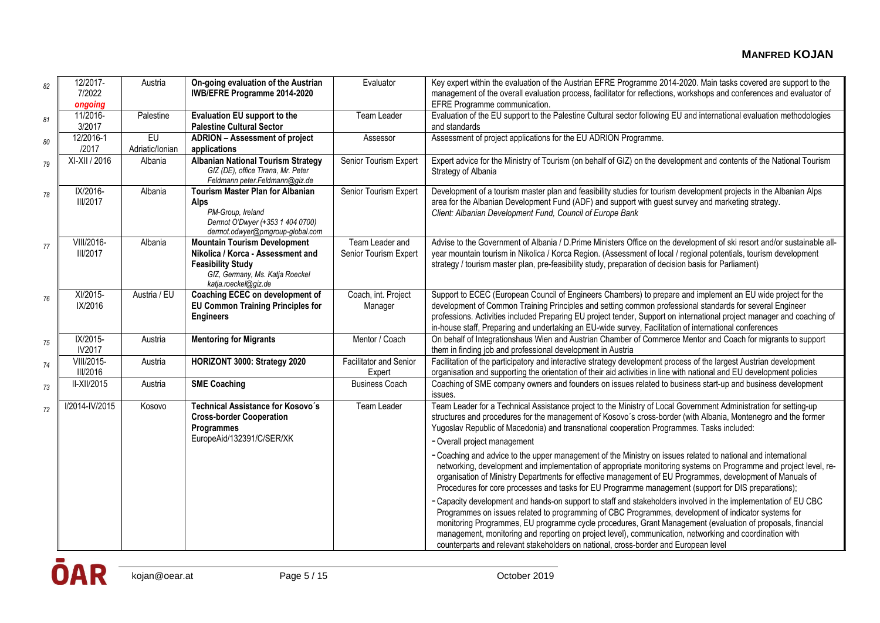| 82 | 12/2017-<br>7/2022<br>ongoing | Austria              | On-going evaluation of the Austrian<br>IWB/EFRE Programme 2014-2020                                                                                             | Evaluator                                | Key expert within the evaluation of the Austrian EFRE Programme 2014-2020. Main tasks covered are support to the<br>management of the overall evaluation process, facilitator for reflections, workshops and conferences and evaluator of<br>EFRE Programme communication.                                                                                                                                                                                                                                                            |
|----|-------------------------------|----------------------|-----------------------------------------------------------------------------------------------------------------------------------------------------------------|------------------------------------------|---------------------------------------------------------------------------------------------------------------------------------------------------------------------------------------------------------------------------------------------------------------------------------------------------------------------------------------------------------------------------------------------------------------------------------------------------------------------------------------------------------------------------------------|
| 81 | 11/2016-<br>3/2017            | Palestine            | Evaluation EU support to the<br><b>Palestine Cultural Sector</b>                                                                                                | <b>Team Leader</b>                       | Evaluation of the EU support to the Palestine Cultural sector following EU and international evaluation methodologies<br>and standards                                                                                                                                                                                                                                                                                                                                                                                                |
| 80 | 12/2016-1<br>/2017            | E<br>Adriatic/Ionian | <b>ADRION - Assessment of project</b><br>applications                                                                                                           | Assessor                                 | Assessment of project applications for the EU ADRION Programme.                                                                                                                                                                                                                                                                                                                                                                                                                                                                       |
| 79 | XI-XII / 2016                 | Albania              | <b>Albanian National Tourism Strategy</b><br>GIZ (DE), office Tirana, Mr. Peter<br>Feldmann peter.Feldmann@giz.de                                               | Senior Tourism Expert                    | Expert advice for the Ministry of Tourism (on behalf of GIZ) on the development and contents of the National Tourism<br>Strategy of Albania                                                                                                                                                                                                                                                                                                                                                                                           |
| 78 | IX/2016-<br><b>III/2017</b>   | Albania              | <b>Tourism Master Plan for Albanian</b><br><b>Alps</b><br>PM-Group, Ireland<br>Dermot O'Dwyer (+353 1 404 0700)<br>dermot.odwyer@pmgroup-global.com             | Senior Tourism Expert                    | Development of a tourism master plan and feasibility studies for tourism development projects in the Albanian Alps<br>area for the Albanian Development Fund (ADF) and support with guest survey and marketing strategy.<br>Client: Albanian Development Fund, Council of Europe Bank                                                                                                                                                                                                                                                 |
| 77 | VIII/2016-<br><b>III/2017</b> | Albania              | <b>Mountain Tourism Development</b><br>Nikolica / Korca - Assessment and<br><b>Feasibility Study</b><br>GIZ, Germany, Ms. Katja Roeckel<br>katja.roeckel@giz.de | Team Leader and<br>Senior Tourism Expert | Advise to the Government of Albania / D. Prime Ministers Office on the development of ski resort and/or sustainable all-<br>year mountain tourism in Nikolica / Korca Region. (Assessment of local / regional potentials, tourism development<br>strategy / tourism master plan, pre-feasibility study, preparation of decision basis for Parliament)                                                                                                                                                                                 |
| 76 | XI/2015-<br>IX/2016           | Austria / EU         | Coaching ECEC on development of<br><b>EU Common Training Principles for</b><br><b>Engineers</b>                                                                 | Coach, int. Project<br>Manager           | Support to ECEC (European Council of Engineers Chambers) to prepare and implement an EU wide project for the<br>development of Common Training Principles and setting common professional standards for several Engineer<br>professions. Activities included Preparing EU project tender, Support on international project manager and coaching of<br>in-house staff, Preparing and undertaking an EU-wide survey, Facilitation of international conferences                                                                          |
| 75 | IX/2015-<br>IV2017            | Austria              | <b>Mentoring for Migrants</b>                                                                                                                                   | Mentor / Coach                           | On behalf of Integrationshaus Wien and Austrian Chamber of Commerce Mentor and Coach for migrants to support<br>them in finding job and professional development in Austria                                                                                                                                                                                                                                                                                                                                                           |
| 74 | VIII/2015-<br><b>III/2016</b> | Austria              | HORIZONT 3000: Strategy 2020                                                                                                                                    | <b>Facilitator and Senior</b><br>Expert  | Facilitation of the participatory and interactive strategy development process of the largest Austrian development<br>organisation and supporting the orientation of their aid activities in line with national and EU development policies                                                                                                                                                                                                                                                                                           |
| 73 | II-XII/2015                   | Austria              | <b>SME Coaching</b>                                                                                                                                             | <b>Business Coach</b>                    | Coaching of SME company owners and founders on issues related to business start-up and business development<br>issues.                                                                                                                                                                                                                                                                                                                                                                                                                |
| 72 | I/2014-IV/2015                | Kosovo               | Technical Assistance for Kosovo's<br><b>Cross-border Cooperation</b><br><b>Programmes</b><br>EuropeAid/132391/C/SER/XK                                          | Team Leader                              | Team Leader for a Technical Assistance project to the Ministry of Local Government Administration for setting-up<br>structures and procedures for the management of Kosovo's cross-border (with Albania, Montenegro and the former<br>Yugoslav Republic of Macedonia) and transnational cooperation Programmes. Tasks included:<br>- Overall project management                                                                                                                                                                       |
|    |                               |                      |                                                                                                                                                                 |                                          | - Coaching and advice to the upper management of the Ministry on issues related to national and international<br>networking, development and implementation of appropriate monitoring systems on Programme and project level, re-<br>organisation of Ministry Departments for effective management of EU Programmes, development of Manuals of<br>Procedures for core processes and tasks for EU Programme management (support for DIS preparations);                                                                                 |
|    |                               |                      |                                                                                                                                                                 |                                          | - Capacity development and hands-on support to staff and stakeholders involved in the implementation of EU CBC<br>Programmes on issues related to programming of CBC Programmes, development of indicator systems for<br>monitoring Programmes, EU programme cycle procedures, Grant Management (evaluation of proposals, financial<br>management, monitoring and reporting on project level), communication, networking and coordination with<br>counterparts and relevant stakeholders on national, cross-border and European level |

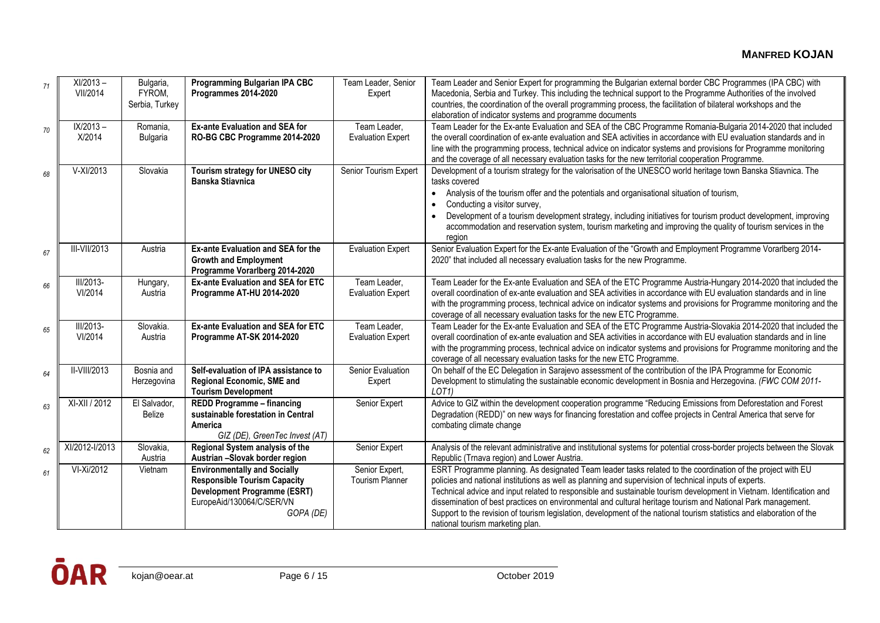| 71 | $XI/2013 -$<br>VII/2014     | Bulgaria,<br>FYROM,<br>Serbia, Turkey | Programming Bulgarian IPA CBC<br><b>Programmes 2014-2020</b>                                                                                         | Team Leader, Senior<br>Expert            | Team Leader and Senior Expert for programming the Bulgarian external border CBC Programmes (IPA CBC) with<br>Macedonia, Serbia and Turkey. This including the technical support to the Programme Authorities of the involved<br>countries, the coordination of the overall programming process, the facilitation of bilateral workshops and the<br>elaboration of indicator systems and programme documents                                                                                                                                                                                                                |
|----|-----------------------------|---------------------------------------|------------------------------------------------------------------------------------------------------------------------------------------------------|------------------------------------------|----------------------------------------------------------------------------------------------------------------------------------------------------------------------------------------------------------------------------------------------------------------------------------------------------------------------------------------------------------------------------------------------------------------------------------------------------------------------------------------------------------------------------------------------------------------------------------------------------------------------------|
| 70 | $IX/2013 -$<br>X/2014       | Romania.<br>Bulgaria                  | <b>Ex-ante Evaluation and SEA for</b><br>RO-BG CBC Programme 2014-2020                                                                               | Team Leader,<br><b>Evaluation Expert</b> | Team Leader for the Ex-ante Evaluation and SEA of the CBC Programme Romania-Bulgaria 2014-2020 that included<br>the overall coordination of ex-ante evaluation and SEA activities in accordance with EU evaluation standards and in<br>line with the programming process, technical advice on indicator systems and provisions for Programme monitoring<br>and the coverage of all necessary evaluation tasks for the new territorial cooperation Programme.                                                                                                                                                               |
| 68 | V-XI/2013                   | Slovakia                              | Tourism strategy for UNESO city<br><b>Banska Stiavnica</b>                                                                                           | Senior Tourism Expert                    | Development of a tourism strategy for the valorisation of the UNESCO world heritage town Banska Stiavnica. The<br>tasks covered<br>• Analysis of the tourism offer and the potentials and organisational situation of tourism,<br>Conducting a visitor survey,<br>$\bullet$<br>Development of a tourism development strategy, including initiatives for tourism product development, improving<br>$\bullet$<br>accommodation and reservation system, tourism marketing and improving the quality of tourism services in the<br>region                                                                                      |
| 67 | <b>III-VII/2013</b>         | Austria                               | <b>Ex-ante Evaluation and SEA for the</b><br><b>Growth and Employment</b><br>Programme Vorarlberg 2014-2020                                          | <b>Evaluation Expert</b>                 | Senior Evaluation Expert for the Ex-ante Evaluation of the "Growth and Employment Programme Vorarlberg 2014-<br>2020" that included all necessary evaluation tasks for the new Programme.                                                                                                                                                                                                                                                                                                                                                                                                                                  |
| 66 | <b>III/2013-</b><br>VI/2014 | Hungary,<br>Austria                   | <b>Ex-ante Evaluation and SEA for ETC</b><br>Programme AT-HU 2014-2020                                                                               | Team Leader,<br><b>Evaluation Expert</b> | Team Leader for the Ex-ante Evaluation and SEA of the ETC Programme Austria-Hungary 2014-2020 that included the<br>overall coordination of ex-ante evaluation and SEA activities in accordance with EU evaluation standards and in line<br>with the programming process, technical advice on indicator systems and provisions for Programme monitoring and the<br>coverage of all necessary evaluation tasks for the new ETC Programme.                                                                                                                                                                                    |
| 65 | <b>III/2013-</b><br>VI/2014 | Slovakia.<br>Austria                  | <b>Ex-ante Evaluation and SEA for ETC</b><br>Programme AT-SK 2014-2020                                                                               | Team Leader,<br><b>Evaluation Expert</b> | Team Leader for the Ex-ante Evaluation and SEA of the ETC Programme Austria-Slovakia 2014-2020 that included the<br>overall coordination of ex-ante evaluation and SEA activities in accordance with EU evaluation standards and in line<br>with the programming process, technical advice on indicator systems and provisions for Programme monitoring and the<br>coverage of all necessary evaluation tasks for the new ETC Programme.                                                                                                                                                                                   |
| 64 | II-VIII/2013                | Bosnia and<br>Herzegovina             | Self-evaluation of IPA assistance to<br><b>Regional Economic, SME and</b><br><b>Tourism Development</b>                                              | Senior Evaluation<br>Expert              | On behalf of the EC Delegation in Sarajevo assessment of the contribution of the IPA Programme for Economic<br>Development to stimulating the sustainable economic development in Bosnia and Herzegovina. (FWC COM 2011-<br>LOT <sub>1</sub> )                                                                                                                                                                                                                                                                                                                                                                             |
| 63 | XI-XII / 2012               | El Salvador,<br>Belize                | <b>REDD Programme - financing</b><br>sustainable forestation in Central<br>America<br>GIZ (DE), GreenTec Invest (AT)                                 | Senior Expert                            | Advice to GIZ within the development cooperation programme "Reducing Emissions from Deforestation and Forest<br>Degradation (REDD)" on new ways for financing forestation and coffee projects in Central America that serve for<br>combating climate change                                                                                                                                                                                                                                                                                                                                                                |
| 62 | XI/2012-I/2013              | Slovakia,<br>Austria                  | Regional System analysis of the<br>Austrian -Slovak border region                                                                                    | Senior Expert                            | Analysis of the relevant administrative and institutional systems for potential cross-border projects between the Slovak<br>Republic (Trnava region) and Lower Austria.                                                                                                                                                                                                                                                                                                                                                                                                                                                    |
| 61 | VI-Xi/2012                  | Vietnam                               | <b>Environmentally and Socially</b><br><b>Responsible Tourism Capacity</b><br>Development Programme (ESRT)<br>EuropeAid/130064/C/SER/VN<br>GOPA (DE) | Senior Expert,<br><b>Tourism Planner</b> | ESRT Programme planning. As designated Team leader tasks related to the coordination of the project with EU<br>policies and national institutions as well as planning and supervision of technical inputs of experts.<br>Technical advice and input related to responsible and sustainable tourism development in Vietnam. Identification and<br>dissemination of best practices on environmental and cultural heritage tourism and National Park management.<br>Support to the revision of tourism legislation, development of the national tourism statistics and elaboration of the<br>national tourism marketing plan. |

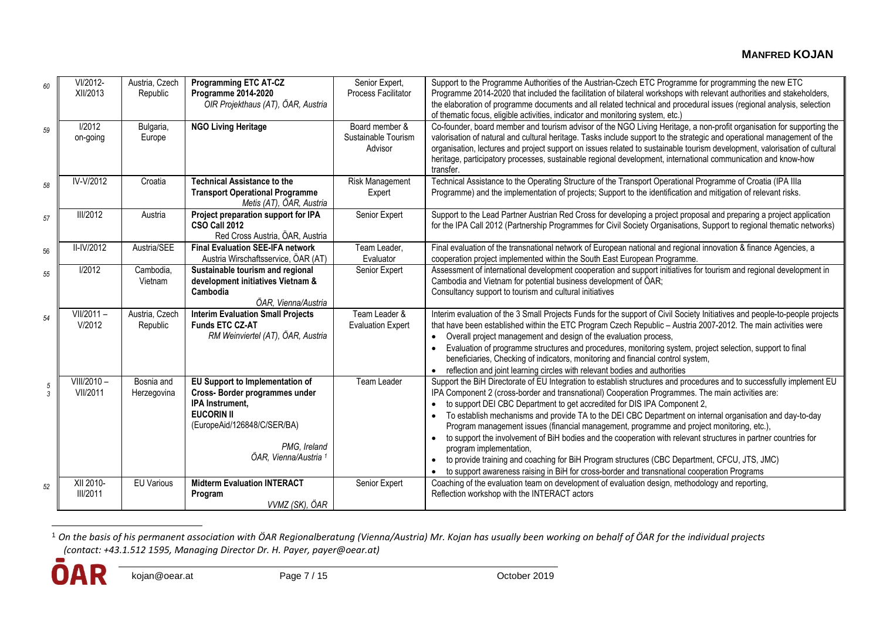| 60            | VI/2012-<br>XII/2013         | Austria, Czech<br>Republic | <b>Programming ETC AT-CZ</b><br>Programme 2014-2020<br>OIR Projekthaus (AT), ÖAR, Austria                                                                                                    | Senior Expert,<br>Process Facilitator            | Support to the Programme Authorities of the Austrian-Czech ETC Programme for programming the new ETC<br>Programme 2014-2020 that included the facilitation of bilateral workshops with relevant authorities and stakeholders,<br>the elaboration of programme documents and all related technical and procedural issues (regional analysis, selection<br>of thematic focus, eligible activities, indicator and monitoring system, etc.)                                                                                                                                                                                                                                                                                                                                                                                                                                                            |
|---------------|------------------------------|----------------------------|----------------------------------------------------------------------------------------------------------------------------------------------------------------------------------------------|--------------------------------------------------|----------------------------------------------------------------------------------------------------------------------------------------------------------------------------------------------------------------------------------------------------------------------------------------------------------------------------------------------------------------------------------------------------------------------------------------------------------------------------------------------------------------------------------------------------------------------------------------------------------------------------------------------------------------------------------------------------------------------------------------------------------------------------------------------------------------------------------------------------------------------------------------------------|
| 59            | 1/2012<br>on-going           | Bulgaria,<br>Europe        | <b>NGO Living Heritage</b>                                                                                                                                                                   | Board member &<br>Sustainable Tourism<br>Advisor | Co-founder, board member and tourism advisor of the NGO Living Heritage, a non-profit organisation for supporting the<br>valorisation of natural and cultural heritage. Tasks include support to the strategic and operational management of the<br>organisation, lectures and project support on issues related to sustainable tourism development, valorisation of cultural<br>heritage, participatory processes, sustainable regional development, international communication and know-how<br>transfer.                                                                                                                                                                                                                                                                                                                                                                                        |
| 58            | IV-V/2012                    | Croatia                    | <b>Technical Assistance to the</b><br><b>Transport Operational Programme</b><br>Metis (AT), ÖAR, Austria                                                                                     | Risk Management<br>Expert                        | Technical Assistance to the Operating Structure of the Transport Operational Programme of Croatia (IPA IIIa<br>Programme) and the implementation of projects; Support to the identification and mitigation of relevant risks.                                                                                                                                                                                                                                                                                                                                                                                                                                                                                                                                                                                                                                                                      |
| 57            | <b>III/2012</b>              | Austria                    | Project preparation support for IPA<br><b>CSO Call 2012</b><br>Red Cross Austria, ÖAR, Austria                                                                                               | Senior Expert                                    | Support to the Lead Partner Austrian Red Cross for developing a project proposal and preparing a project application<br>for the IPA Call 2012 (Partnership Programmes for Civil Society Organisations, Support to regional thematic networks)                                                                                                                                                                                                                                                                                                                                                                                                                                                                                                                                                                                                                                                      |
| 56            | II-IV/2012                   | Austria/SEE                | <b>Final Evaluation SEE-IFA network</b><br>Austria Wirschaftsservice, ÖAR (AT)                                                                                                               | Team Leader,<br>Evaluator                        | Final evaluation of the transnational network of European national and regional innovation & finance Agencies, a<br>cooperation project implemented within the South East European Programme.                                                                                                                                                                                                                                                                                                                                                                                                                                                                                                                                                                                                                                                                                                      |
| 55            | I/2012                       | Cambodia,<br>Vietnam       | Sustainable tourism and regional<br>development initiatives Vietnam &<br>Cambodia<br>ÖAR, Vienna/Austria                                                                                     | Senior Expert                                    | Assessment of international development cooperation and support initiatives for tourism and regional development in<br>Cambodia and Vietnam for potential business development of ÖAR;<br>Consultancy support to tourism and cultural initiatives                                                                                                                                                                                                                                                                                                                                                                                                                                                                                                                                                                                                                                                  |
| 54            | $VII/2011 -$<br>V/2012       | Austria, Czech<br>Republic | <b>Interim Evaluation Small Projects</b><br><b>Funds ETC CZ-AT</b><br>RM Weinviertel (AT), ÖAR, Austria                                                                                      | Team Leader &<br><b>Evaluation Expert</b>        | Interim evaluation of the 3 Small Projects Funds for the support of Civil Society Initiatives and people-to-people projects<br>that have been established within the ETC Program Czech Republic - Austria 2007-2012. The main activities were<br>Overall project management and design of the evaluation process,<br>Evaluation of programme structures and procedures, monitoring system, project selection, support to final<br>beneficiaries, Checking of indicators, monitoring and financial control system,<br>reflection and joint learning circles with relevant bodies and authorities<br>$\bullet$                                                                                                                                                                                                                                                                                       |
| $\frac{5}{3}$ | VIII/2010-<br>VII/2011       | Bosnia and<br>Herzegovina  | EU Support to Implementation of<br>Cross- Border programmes under<br>IPA Instrument,<br><b>EUCORIN II</b><br>(EuropeAid/126848/C/SER/BA)<br>PMG, Ireland<br>ÖAR, Vienna/Austria <sup>1</sup> | <b>Team Leader</b>                               | Support the BiH Directorate of EU Integration to establish structures and procedures and to successfully implement EU<br>IPA Component 2 (cross-border and transnational) Cooperation Programmes. The main activities are:<br>to support DEI CBC Department to get accredited for DIS IPA Component 2,<br>To establish mechanisms and provide TA to the DEI CBC Department on internal organisation and day-to-day<br>Program management issues (financial management, programme and project monitoring, etc.),<br>to support the involvement of BiH bodies and the cooperation with relevant structures in partner countries for<br>$\bullet$<br>program implementation,<br>to provide training and coaching for BiH Program structures (CBC Department, CFCU, JTS, JMC)<br>$\bullet$<br>to support awareness raising in BiH for cross-border and transnational cooperation Programs<br>$\bullet$ |
| 52            | XII 2010-<br><b>III/2011</b> | <b>EU Various</b>          | <b>Midterm Evaluation INTERACT</b><br>Program<br>VVMZ (SK), ÖAR                                                                                                                              | Senior Expert                                    | Coaching of the evaluation team on development of evaluation design, methodology and reporting,<br>Reflection workshop with the INTERACT actors                                                                                                                                                                                                                                                                                                                                                                                                                                                                                                                                                                                                                                                                                                                                                    |

<sup>1</sup> *On the basis of his permanent association with ÖAR Regionalberatung (Vienna/Austria) Mr. Kojan has usually been working on behalf of ÖAR for the individual projects (contact: +43.1.512 1595, Managing Director Dr. H. Payer, payer@oear.at)*

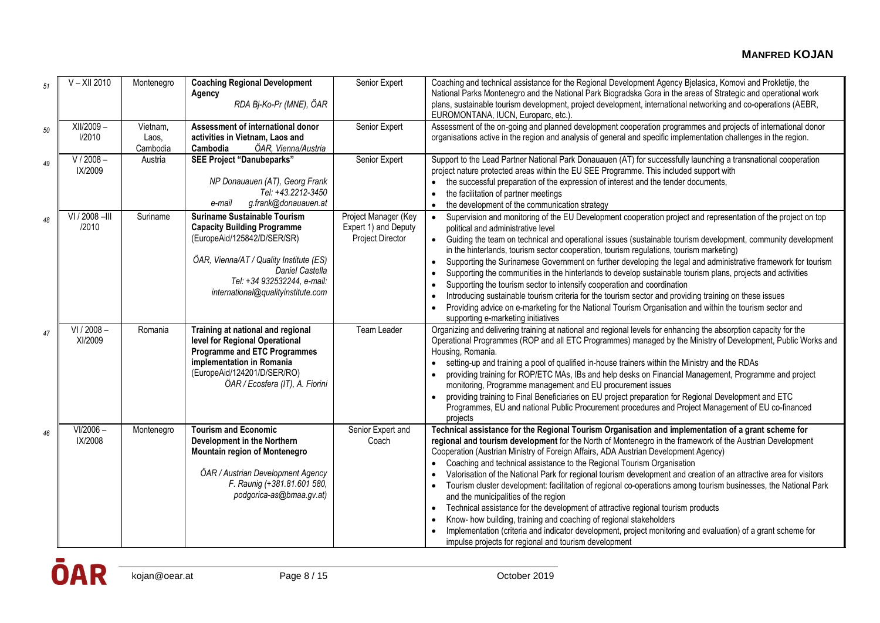| 51 | $V - XII 2010$           | Montenegro                    | <b>Coaching Regional Development</b><br>Agency<br>RDA Bj-Ko-Pr (MNE), ÖAR                                                                                                                                                            | Senior Expert                                                           | Coaching and technical assistance for the Regional Development Agency Bjelasica, Komovi and Prokletije, the<br>National Parks Montenegro and the National Park Biogradska Gora in the areas of Strategic and operational work<br>plans, sustainable tourism development, project development, international networking and co-operations (AEBR,<br>EUROMONTANA, IUCN, Europarc, etc.)                                                                                                                                                                                                                                                                                                                                                                                                                                                                                                                                                                                                                                                                     |
|----|--------------------------|-------------------------------|--------------------------------------------------------------------------------------------------------------------------------------------------------------------------------------------------------------------------------------|-------------------------------------------------------------------------|-----------------------------------------------------------------------------------------------------------------------------------------------------------------------------------------------------------------------------------------------------------------------------------------------------------------------------------------------------------------------------------------------------------------------------------------------------------------------------------------------------------------------------------------------------------------------------------------------------------------------------------------------------------------------------------------------------------------------------------------------------------------------------------------------------------------------------------------------------------------------------------------------------------------------------------------------------------------------------------------------------------------------------------------------------------|
| 50 | XII/2009-<br>I/2010      | Vietnam,<br>Laos.<br>Cambodia | Assessment of international donor<br>activities in Vietnam, Laos and<br>ÖAR, Vienna/Austria<br>Cambodia                                                                                                                              | Senior Expert                                                           | Assessment of the on-going and planned development cooperation programmes and projects of international donor<br>organisations active in the region and analysis of general and specific implementation challenges in the region.                                                                                                                                                                                                                                                                                                                                                                                                                                                                                                                                                                                                                                                                                                                                                                                                                         |
| 49 | $V/2008 -$<br>IX/2009    | Austria                       | <b>SEE Project "Danubeparks"</b><br>NP Donauauen (AT), Georg Frank<br>Tel: +43.2212-3450<br>g.frank@donauauen.at<br>e-mail                                                                                                           | Senior Expert                                                           | Support to the Lead Partner National Park Donauauen (AT) for successfully launching a transnational cooperation<br>project nature protected areas within the EU SEE Programme. This included support with<br>the successful preparation of the expression of interest and the tender documents,<br>the facilitation of partner meetings<br>the development of the communication strategy<br>$\bullet$                                                                                                                                                                                                                                                                                                                                                                                                                                                                                                                                                                                                                                                     |
| 48 | VI / 2008 - III<br>/2010 | Suriname                      | Suriname Sustainable Tourism<br><b>Capacity Building Programme</b><br>(EuropeAid/125842/D/SER/SR)<br>ÖAR, Vienna/AT / Quality Institute (ES)<br>Daniel Castella<br>Tel: +34 932532244, e-mail:<br>international@qualityinstitute.com | Project Manager (Key<br>Expert 1) and Deputy<br><b>Project Director</b> | Supervision and monitoring of the EU Development cooperation project and representation of the project on top<br>$\bullet$<br>political and administrative level<br>• Guiding the team on technical and operational issues (sustainable tourism development, community development<br>in the hinterlands, tourism sector cooperation, tourism regulations, tourism marketing)<br>Supporting the Surinamese Government on further developing the legal and administrative framework for tourism<br>$\bullet$<br>Supporting the communities in the hinterlands to develop sustainable tourism plans, projects and activities<br>$\bullet$<br>Supporting the tourism sector to intensify cooperation and coordination<br>$\bullet$<br>Introducing sustainable tourism criteria for the tourism sector and providing training on these issues<br>$\bullet$<br>Providing advice on e-marketing for the National Tourism Organisation and within the tourism sector and<br>supporting e-marketing initiatives                                                   |
| 47 | VI / 2008 -<br>XI/2009   | Romania                       | Training at national and regional<br>level for Regional Operational<br><b>Programme and ETC Programmes</b><br>implementation in Romania<br>(EuropeAid/124201/D/SER/RO)<br>ÖAR / Ecosfera (IT), A. Fiorini                            | Team Leader                                                             | Organizing and delivering training at national and regional levels for enhancing the absorption capacity for the<br>Operational Programmes (ROP and all ETC Programmes) managed by the Ministry of Development, Public Works and<br>Housing, Romania.<br>setting-up and training a pool of qualified in-house trainers within the Ministry and the RDAs<br>providing training for ROP/ETC MAs, IBs and help desks on Financial Management, Programme and project<br>$\bullet$<br>monitoring, Programme management and EU procurement issues<br>providing training to Final Beneficiaries on EU project preparation for Regional Development and ETC<br>Programmes, EU and national Public Procurement procedures and Project Management of EU co-financed<br>projects                                                                                                                                                                                                                                                                                     |
| 46 | $VI/2006 -$<br>IX/2008   | Montenegro                    | <b>Tourism and Economic</b><br>Development in the Northern<br>Mountain region of Montenegro<br>ÖAR / Austrian Development Agency<br>F. Raunig (+381.81.601 580,<br>podgorica-as@bmaa.gv.at)                                          | Senior Expert and<br>Coach                                              | Technical assistance for the Regional Tourism Organisation and implementation of a grant scheme for<br>regional and tourism development for the North of Montenegro in the framework of the Austrian Development<br>Cooperation (Austrian Ministry of Foreign Affairs, ADA Austrian Development Agency)<br>Coaching and technical assistance to the Regional Tourism Organisation<br>Valorisation of the National Park for regional tourism development and creation of an attractive area for visitors<br>$\bullet$<br>Tourism cluster development: facilitation of regional co-operations among tourism businesses, the National Park<br>and the municipalities of the region<br>Technical assistance for the development of attractive regional tourism products<br>$\bullet$<br>Know- how building, training and coaching of regional stakeholders<br>$\bullet$<br>Implementation (criteria and indicator development, project monitoring and evaluation) of a grant scheme for<br>$\bullet$<br>impulse projects for regional and tourism development |

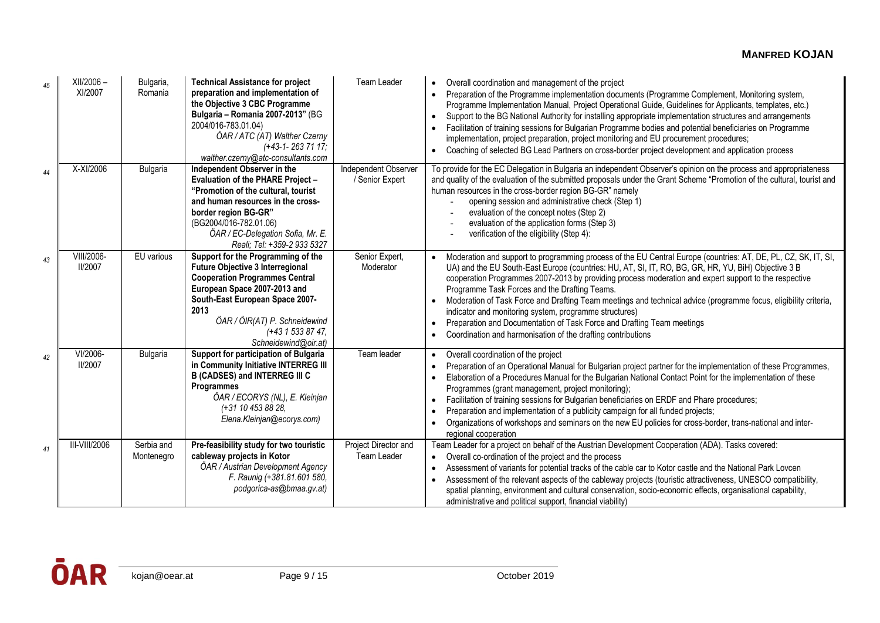| 45 | XII/2006-<br>XI/2007         | Bulgaria,<br>Romania     | <b>Technical Assistance for project</b><br>preparation and implementation of<br>the Objective 3 CBC Programme<br>Bulgaria - Romania 2007-2013" (BG<br>2004/016-783.01.04)<br>ÖAR / ATC (AT) Walther Czerny<br>$(+43 - 1 - 2637117)$<br>walther.czerny@atc-consultants.com       | Team Leader                             | Overall coordination and management of the project<br>$\bullet$<br>Preparation of the Programme implementation documents (Programme Complement, Monitoring system,<br>$\bullet$<br>Programme Implementation Manual, Project Operational Guide, Guidelines for Applicants, templates, etc.)<br>Support to the BG National Authority for installing appropriate implementation structures and arrangements<br>$\bullet$<br>Facilitation of training sessions for Bulgarian Programme bodies and potential beneficiaries on Programme<br>$\bullet$<br>implementation, project preparation, project monitoring and EU procurement procedures;<br>Coaching of selected BG Lead Partners on cross-border project development and application process<br>$\bullet$ |
|----|------------------------------|--------------------------|---------------------------------------------------------------------------------------------------------------------------------------------------------------------------------------------------------------------------------------------------------------------------------|-----------------------------------------|-------------------------------------------------------------------------------------------------------------------------------------------------------------------------------------------------------------------------------------------------------------------------------------------------------------------------------------------------------------------------------------------------------------------------------------------------------------------------------------------------------------------------------------------------------------------------------------------------------------------------------------------------------------------------------------------------------------------------------------------------------------|
| 44 | X-XI/2006                    | Bulgaria                 | Independent Observer in the<br>Evaluation of the PHARE Project -<br>"Promotion of the cultural, tourist<br>and human resources in the cross-<br>border region BG-GR"<br>(BG2004/016-782.01.06)<br>ÖAR / EC-Delegation Sofia, Mr. E.<br>Reali; Tel: +359-2 933 5327              | Independent Observer<br>/ Senior Expert | To provide for the EC Delegation in Bulgaria an independent Observer's opinion on the process and appropriateness<br>and quality of the evaluation of the submitted proposals under the Grant Scheme "Promotion of the cultural, tourist and<br>human resources in the cross-border region BG-GR" namely<br>opening session and administrative check (Step 1)<br>evaluation of the concept notes (Step 2)<br>evaluation of the application forms (Step 3)<br>verification of the eligibility (Step 4):                                                                                                                                                                                                                                                      |
| 43 | VIII/2006-<br><b>II/2007</b> | EU various               | Support for the Programming of the<br><b>Future Objective 3 Interregional</b><br><b>Cooperation Programmes Central</b><br>European Space 2007-2013 and<br>South-East European Space 2007-<br>2013<br>ÖAR / ÖIR(AT) P. Schneidewind<br>(+43 1 533 87 47,<br>Schneidewind@oir.at) | Senior Expert,<br>Moderator             | Moderation and support to programming process of the EU Central Europe (countries: AT, DE, PL, CZ, SK, IT, SI,<br>$\bullet$<br>UA) and the EU South-East Europe (countries: HU, AT, SI, IT, RO, BG, GR, HR, YU, BiH) Objective 3 B<br>cooperation Programmes 2007-2013 by providing process moderation and expert support to the respective<br>Programme Task Forces and the Drafting Teams.<br>Moderation of Task Force and Drafting Team meetings and technical advice (programme focus, eligibility criteria,<br>$\bullet$<br>indicator and monitoring system, programme structures)<br>Preparation and Documentation of Task Force and Drafting Team meetings<br>$\bullet$<br>Coordination and harmonisation of the drafting contributions<br>$\bullet$ |
| 42 | VI/2006-<br><b>II/2007</b>   | Bulgaria                 | Support for participation of Bulgaria<br>in Community Initiative INTERREG III<br><b>B (CADSES) and INTERREG III C</b><br><b>Programmes</b><br>ÖAR / ECORYS (NL), E. Kleinjan<br>(+31 10 453 88 28,<br>Elena.Kleinjan@ecorys.com)                                                | Team leader                             | Overall coordination of the project<br>$\bullet$<br>Preparation of an Operational Manual for Bulgarian project partner for the implementation of these Programmes,<br>$\bullet$<br>Elaboration of a Procedures Manual for the Bulgarian National Contact Point for the implementation of these<br>$\bullet$<br>Programmes (grant management, project monitoring);<br>Facilitation of training sessions for Bulgarian beneficiaries on ERDF and Phare procedures;<br>$\bullet$<br>Preparation and implementation of a publicity campaign for all funded projects;<br>$\bullet$<br>Organizations of workshops and seminars on the new EU policies for cross-border, trans-national and inter-<br>$\bullet$<br>regional cooperation                            |
| 41 | <b>III-VIII/2006</b>         | Serbia and<br>Montenegro | Pre-feasibility study for two touristic<br>cableway projects in Kotor<br>ÖAR / Austrian Development Agency<br>F. Raunig (+381.81.601 580,<br>podgorica-as@bmaa.gv.at)                                                                                                           | Project Director and<br>Team Leader     | Team Leader for a project on behalf of the Austrian Development Cooperation (ADA). Tasks covered:<br>Overall co-ordination of the project and the process<br>$\bullet$<br>Assessment of variants for potential tracks of the cable car to Kotor castle and the National Park Lovcen<br>$\bullet$<br>Assessment of the relevant aspects of the cableway projects (touristic attractiveness, UNESCO compatibility,<br>$\bullet$<br>spatial planning, environment and cultural conservation, socio-economic effects, organisational capability,<br>administrative and political support, financial viability)                                                                                                                                                  |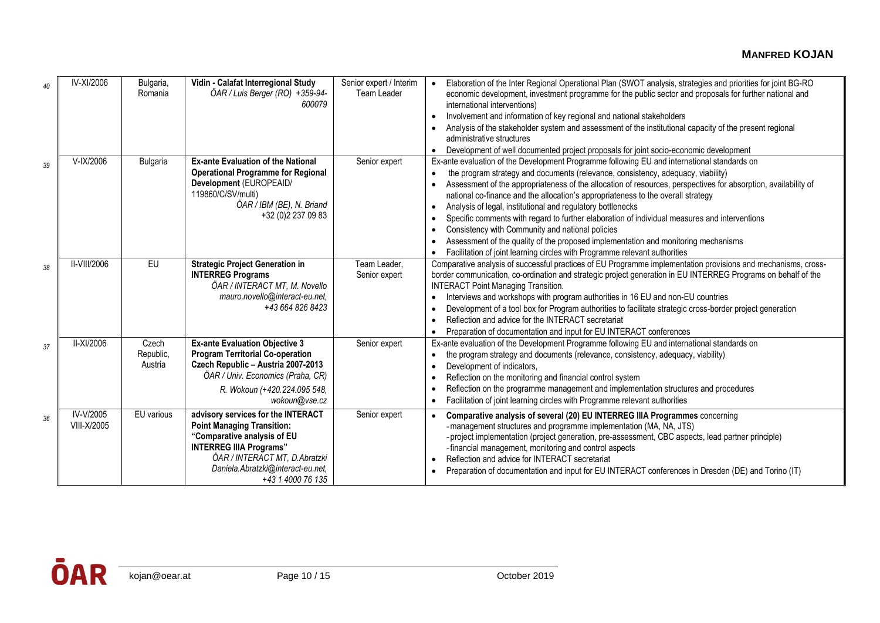| 40 | IV-XI/2006               | Bulgaria,<br>Romania          | Vidin - Calafat Interregional Study<br>ÖAR / Luis Berger (RO) +359-94-<br>600079                                                                                                                                                    | Senior expert / Interim<br>Team Leader | Elaboration of the Inter Regional Operational Plan (SWOT analysis, strategies and priorities for joint BG-RO<br>$\bullet$<br>economic development, investment programme for the public sector and proposals for further national and<br>international interventions)<br>Involvement and information of key regional and national stakeholders<br>$\bullet$<br>Analysis of the stakeholder system and assessment of the institutional capacity of the present regional<br>$\bullet$<br>administrative structures<br>Development of well documented project proposals for joint socio-economic development                                                                                                                                                                                                                                                    |
|----|--------------------------|-------------------------------|-------------------------------------------------------------------------------------------------------------------------------------------------------------------------------------------------------------------------------------|----------------------------------------|-------------------------------------------------------------------------------------------------------------------------------------------------------------------------------------------------------------------------------------------------------------------------------------------------------------------------------------------------------------------------------------------------------------------------------------------------------------------------------------------------------------------------------------------------------------------------------------------------------------------------------------------------------------------------------------------------------------------------------------------------------------------------------------------------------------------------------------------------------------|
| 39 | V-IX/2006                | Bulgaria                      | <b>Ex-ante Evaluation of the National</b><br><b>Operational Programme for Regional</b><br>Development (EUROPEAID/<br>119860/C/SV/multi)<br>ÖAR / IBM (BE), N. Briand<br>+32 (0) 2 237 09 83                                         | Senior expert                          | Ex-ante evaluation of the Development Programme following EU and international standards on<br>the program strategy and documents (relevance, consistency, adequacy, viability)<br>$\bullet$<br>Assessment of the appropriateness of the allocation of resources, perspectives for absorption, availability of<br>national co-finance and the allocation's appropriateness to the overall strategy<br>Analysis of legal, institutional and regulatory bottlenecks<br>$\bullet$<br>Specific comments with regard to further elaboration of individual measures and interventions<br>$\bullet$<br>Consistency with Community and national policies<br>$\bullet$<br>Assessment of the quality of the proposed implementation and monitoring mechanisms<br>$\bullet$<br>Facilitation of joint learning circles with Programme relevant authorities<br>$\bullet$ |
| 38 | II-VIII/2006             | EU                            | <b>Strategic Project Generation in</b><br><b>INTERREG Programs</b><br>ÖAR / INTERACT MT, M. Novello<br>mauro.novello@interact-eu.net,<br>+43 664 826 8423                                                                           | Team Leader,<br>Senior expert          | Comparative analysis of successful practices of EU Programme implementation provisions and mechanisms, cross-<br>border communication, co-ordination and strategic project generation in EU INTERREG Programs on behalf of the<br><b>INTERACT Point Managing Transition.</b><br>Interviews and workshops with program authorities in 16 EU and non-EU countries<br>Development of a tool box for Program authorities to facilitate strategic cross-border project generation<br>$\bullet$<br>Reflection and advice for the INTERACT secretariat<br>$\bullet$<br>Preparation of documentation and input for EU INTERACT conferences<br>$\bullet$                                                                                                                                                                                                             |
| 37 | II-XI/2006               | Czech<br>Republic,<br>Austria | <b>Ex-ante Evaluation Objective 3</b><br><b>Program Territorial Co-operation</b><br>Czech Republic - Austria 2007-2013<br>ÖAR / Univ. Economics (Praha, CR)<br>R. Wokoun (+420.224.095 548,<br>wokoun@vse.cz                        | Senior expert                          | Ex-ante evaluation of the Development Programme following EU and international standards on<br>the program strategy and documents (relevance, consistency, adequacy, viability)<br>$\bullet$<br>Development of indicators,<br>$\bullet$<br>Reflection on the monitoring and financial control system<br>$\bullet$<br>Reflection on the programme management and implementation structures and procedures<br>$\bullet$<br>Facilitation of joint learning circles with Programme relevant authorities<br>$\bullet$                                                                                                                                                                                                                                                                                                                                            |
| 36 | IV-V/2005<br>VIII-X/2005 | EU various                    | advisory services for the INTERACT<br><b>Point Managing Transition:</b><br>"Comparative analysis of EU<br><b>INTERREG IIIA Programs"</b><br>ÖAR / INTERACT MT, D.Abratzki<br>Daniela.Abratzki@interact-eu.net,<br>+43 1 4000 76 135 | Senior expert                          | Comparative analysis of several (20) EU INTERREG IIIA Programmes concerning<br>- management structures and programme implementation (MA, NA, JTS)<br>- project implementation (project generation, pre-assessment, CBC aspects, lead partner principle)<br>- financial management, monitoring and control aspects<br>Reflection and advice for INTERACT secretariat<br>$\bullet$<br>Preparation of documentation and input for EU INTERACT conferences in Dresden (DE) and Torino (IT)                                                                                                                                                                                                                                                                                                                                                                      |

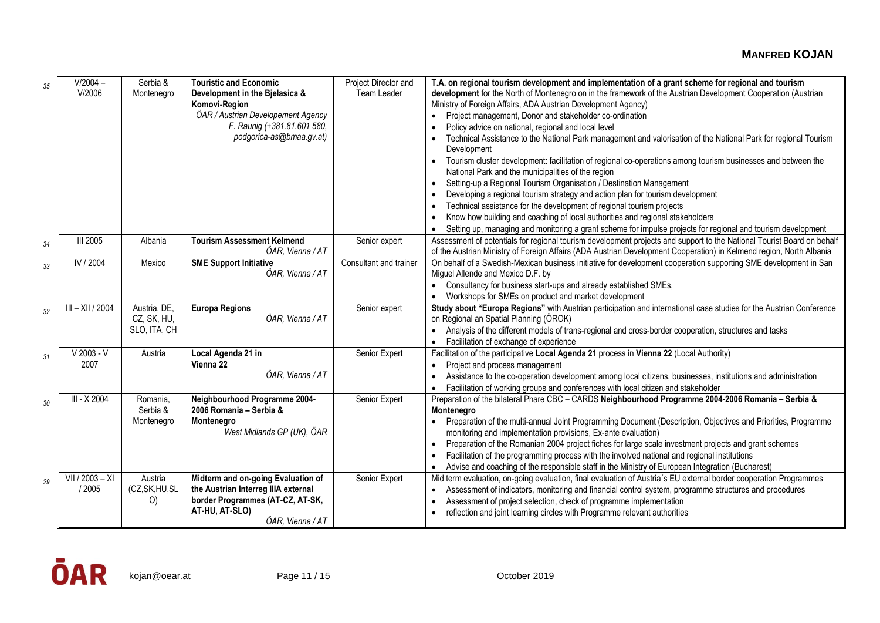| 35 | $V/2004 -$<br>V/2006       | Serbia &<br>Montenegro                      | <b>Touristic and Economic</b><br>Development in the Bjelasica &<br>Komovi-Region<br>ÖAR / Austrian Developement Agency<br>F. Raunig (+381.81.601 580,<br>podgorica-as@bmaa.gv.at) | Project Director and<br>Team Leader | T.A. on regional tourism development and implementation of a grant scheme for regional and tourism<br>development for the North of Montenegro on in the framework of the Austrian Development Cooperation (Austrian<br>Ministry of Foreign Affairs, ADA Austrian Development Agency)<br>Project management, Donor and stakeholder co-ordination<br>$\bullet$<br>Policy advice on national, regional and local level<br>$\bullet$<br>Technical Assistance to the National Park management and valorisation of the National Park for regional Tourism<br>Development<br>Tourism cluster development: facilitation of regional co-operations among tourism businesses and between the<br>National Park and the municipalities of the region<br>Setting-up a Regional Tourism Organisation / Destination Management<br>$\bullet$<br>Developing a regional tourism strategy and action plan for tourism development<br>$\bullet$<br>Technical assistance for the development of regional tourism projects<br>Know how building and coaching of local authorities and regional stakeholders<br>$\bullet$<br>Setting up, managing and monitoring a grant scheme for impulse projects for regional and tourism development<br>$\bullet$ |
|----|----------------------------|---------------------------------------------|-----------------------------------------------------------------------------------------------------------------------------------------------------------------------------------|-------------------------------------|---------------------------------------------------------------------------------------------------------------------------------------------------------------------------------------------------------------------------------------------------------------------------------------------------------------------------------------------------------------------------------------------------------------------------------------------------------------------------------------------------------------------------------------------------------------------------------------------------------------------------------------------------------------------------------------------------------------------------------------------------------------------------------------------------------------------------------------------------------------------------------------------------------------------------------------------------------------------------------------------------------------------------------------------------------------------------------------------------------------------------------------------------------------------------------------------------------------------------------|
| 34 | <b>III 2005</b>            | Albania                                     | <b>Tourism Assessment Kelmend</b><br>ÖAR, Vienna / AT                                                                                                                             | Senior expert                       | Assessment of potentials for regional tourism development projects and support to the National Tourist Board on behalf<br>of the Austrian Ministry of Foreign Affairs (ADA Austrian Development Cooperation) in Kelmend region, North Albania                                                                                                                                                                                                                                                                                                                                                                                                                                                                                                                                                                                                                                                                                                                                                                                                                                                                                                                                                                                   |
| 33 | IV / 2004                  | Mexico                                      | <b>SME Support Initiative</b><br>ÖAR, Vienna / AT                                                                                                                                 | Consultant and trainer              | On behalf of a Swedish-Mexican business initiative for development cooperation supporting SME development in San<br>Miguel Allende and Mexico D.F. by<br>Consultancy for business start-ups and already established SMEs,<br>Workshops for SMEs on product and market development<br>$\bullet$                                                                                                                                                                                                                                                                                                                                                                                                                                                                                                                                                                                                                                                                                                                                                                                                                                                                                                                                  |
| 32 | $III - XII / 2004$         | Austria, DE,<br>CZ, SK, HU,<br>SLO, ITA, CH | <b>Europa Regions</b><br>ÖAR, Vienna / AT                                                                                                                                         | Senior expert                       | Study about "Europa Regions" with Austrian participation and international case studies for the Austrian Conference<br>on Regional an Spatial Planning (ÖROK)<br>Analysis of the different models of trans-regional and cross-border cooperation, structures and tasks<br>$\bullet$<br>Facilitation of exchange of experience<br>$\bullet$                                                                                                                                                                                                                                                                                                                                                                                                                                                                                                                                                                                                                                                                                                                                                                                                                                                                                      |
| 31 | V 2003 - V<br>2007         | Austria                                     | Local Agenda 21 in<br>Vienna 22<br>ÖAR, Vienna / AT                                                                                                                               | Senior Expert                       | Facilitation of the participative Local Agenda 21 process in Vienna 22 (Local Authority)<br>Project and process management<br>$\bullet$<br>Assistance to the co-operation development among local citizens, businesses, institutions and administration<br>$\bullet$<br>Facilitation of working groups and conferences with local citizen and stakeholder<br>$\bullet$                                                                                                                                                                                                                                                                                                                                                                                                                                                                                                                                                                                                                                                                                                                                                                                                                                                          |
| 30 | III - X 2004               | Romania.<br>Serbia &<br>Montenegro          | Neighbourhood Programme 2004-<br>2006 Romania - Serbia &<br>Montenegro<br>West Midlands GP (UK), ÖAR                                                                              | Senior Expert                       | Preparation of the bilateral Phare CBC - CARDS Neighbourhood Programme 2004-2006 Romania - Serbia &<br>Montenegro<br>Preparation of the multi-annual Joint Programming Document (Description, Objectives and Priorities, Programme<br>$\bullet$<br>monitoring and implementation provisions, Ex-ante evaluation)<br>Preparation of the Romanian 2004 project fiches for large scale investment projects and grant schemes<br>$\bullet$<br>Facilitation of the programming process with the involved national and regional institutions<br>$\bullet$<br>Advise and coaching of the responsible staff in the Ministry of European Integration (Bucharest)<br>$\bullet$                                                                                                                                                                                                                                                                                                                                                                                                                                                                                                                                                            |
| 29 | $VII / 2003 - XI$<br>/2005 | Austria<br>(CZ, SK, HU, SL<br>O)            | Midterm and on-going Evaluation of<br>the Austrian Interreg IIIA external<br>border Programmes (AT-CZ, AT-SK,<br>AT-HU, AT-SLO)<br>ÖAR, Vienna / AT                               | Senior Expert                       | Mid term evaluation, on-going evaluation, final evaluation of Austria's EU external border cooperation Programmes<br>Assessment of indicators, monitoring and financial control system, programme structures and procedures<br>$\bullet$<br>Assessment of project selection, check of programme implementation<br>$\bullet$<br>reflection and joint learning circles with Programme relevant authorities<br>٠                                                                                                                                                                                                                                                                                                                                                                                                                                                                                                                                                                                                                                                                                                                                                                                                                   |

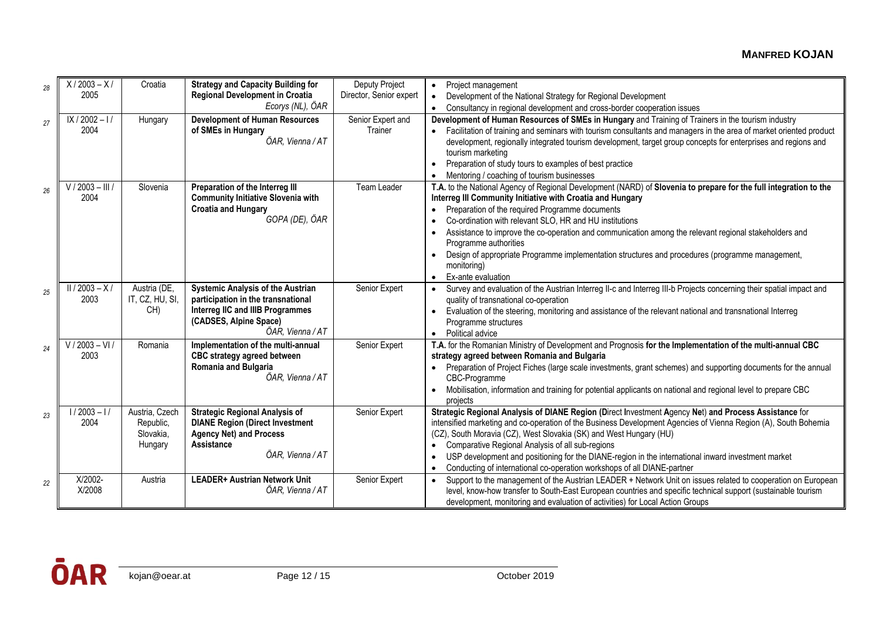| 28 | $X/2003 - X/$<br>2005     | Croatia                                             | <b>Strategy and Capacity Building for</b><br><b>Regional Development in Croatia</b><br>Ecorys (NL), ÖAR                                                                 | <b>Deputy Project</b><br>Director, Senior expert | Project management<br>$\bullet$<br>Development of the National Strategy for Regional Development<br>$\bullet$<br>Consultancy in regional development and cross-border cooperation issues<br>$\bullet$                                                                                                                                                                                                                                                                                                                                                                                |
|----|---------------------------|-----------------------------------------------------|-------------------------------------------------------------------------------------------------------------------------------------------------------------------------|--------------------------------------------------|--------------------------------------------------------------------------------------------------------------------------------------------------------------------------------------------------------------------------------------------------------------------------------------------------------------------------------------------------------------------------------------------------------------------------------------------------------------------------------------------------------------------------------------------------------------------------------------|
| 27 | $IX / 2002 - I /$<br>2004 | Hungary                                             | <b>Development of Human Resources</b><br>of SMEs in Hungary<br>ÖAR, Vienna / AT                                                                                         | Senior Expert and<br>Trainer                     | Development of Human Resources of SMEs in Hungary and Training of Trainers in the tourism industry<br>Facilitation of training and seminars with tourism consultants and managers in the area of market oriented product<br>$\bullet$<br>development, regionally integrated tourism development, target group concepts for enterprises and regions and<br>tourism marketing<br>Preparation of study tours to examples of best practice<br>$\bullet$<br>Mentoring / coaching of tourism businesses                                                                                    |
| 26 | $V/2003 - III/$<br>2004   | Slovenia                                            | Preparation of the Interreg III<br><b>Community Initiative Slovenia with</b><br><b>Croatia and Hungary</b><br>GOPA (DE), ÖAR                                            | Team Leader                                      | T.A. to the National Agency of Regional Development (NARD) of Slovenia to prepare for the full integration to the<br>Interreg III Community Initiative with Croatia and Hungary<br>Preparation of the required Programme documents<br>Co-ordination with relevant SLO, HR and HU institutions<br>Assistance to improve the co-operation and communication among the relevant regional stakeholders and<br>Programme authorities<br>Design of appropriate Programme implementation structures and procedures (programme management,<br>monitoring)<br>Ex-ante evaluation<br>$\bullet$ |
| 25 | $II / 2003 - X /$<br>2003 | Austria (DE,<br>IT, CZ, HU, SI,<br>CH)              | <b>Systemic Analysis of the Austrian</b><br>participation in the transnational<br><b>Interreg IIC and IIIB Programmes</b><br>(CADSES, Alpine Space)<br>ÖAR, Vienna / AT | Senior Expert                                    | Survey and evaluation of the Austrian Interreg II-c and Interreg III-b Projects concerning their spatial impact and<br>quality of transnational co-operation<br>Evaluation of the steering, monitoring and assistance of the relevant national and transnational Interreg<br>$\bullet$<br>Programme structures<br>Political advice<br>$\bullet$                                                                                                                                                                                                                                      |
| 24 | $V/2003 - VI/$<br>2003    | Romania                                             | Implementation of the multi-annual<br>CBC strategy agreed between<br>Romania and Bulgaria<br>ÖAR, Vienna / AT                                                           | Senior Expert                                    | T.A. for the Romanian Ministry of Development and Prognosis for the Implementation of the multi-annual CBC<br>strategy agreed between Romania and Bulgaria<br>Preparation of Project Fiches (large scale investments, grant schemes) and supporting documents for the annual<br>CBC-Programme<br>Mobilisation, information and training for potential applicants on national and regional level to prepare CBC<br>projects                                                                                                                                                           |
| 23 | $1/2003 - 1/$<br>2004     | Austria, Czech<br>Republic,<br>Slovakia,<br>Hungary | <b>Strategic Regional Analysis of</b><br><b>DIANE Region (Direct Investment</b><br><b>Agency Net) and Process</b><br><b>Assistance</b><br>ÖAR, Vienna / AT              | Senior Expert                                    | Strategic Regional Analysis of DIANE Region (Direct Investment Agency Net) and Process Assistance for<br>intensified marketing and co-operation of the Business Development Agencies of Vienna Region (A), South Bohemia<br>(CZ), South Moravia (CZ), West Slovakia (SK) and West Hungary (HU)<br>Comparative Regional Analysis of all sub-regions<br>USP development and positioning for the DIANE-region in the international inward investment market<br>$\bullet$<br>Conducting of international co-operation workshops of all DIANE-partner<br>$\bullet$                        |
| 22 | X/2002-<br>X/2008         | Austria                                             | <b>LEADER+ Austrian Network Unit</b><br>ÖAR, Vienna / AT                                                                                                                | Senior Expert                                    | Support to the management of the Austrian LEADER + Network Unit on issues related to cooperation on European<br>level, know-how transfer to South-East European countries and specific technical support (sustainable tourism<br>development, monitoring and evaluation of activities) for Local Action Groups                                                                                                                                                                                                                                                                       |

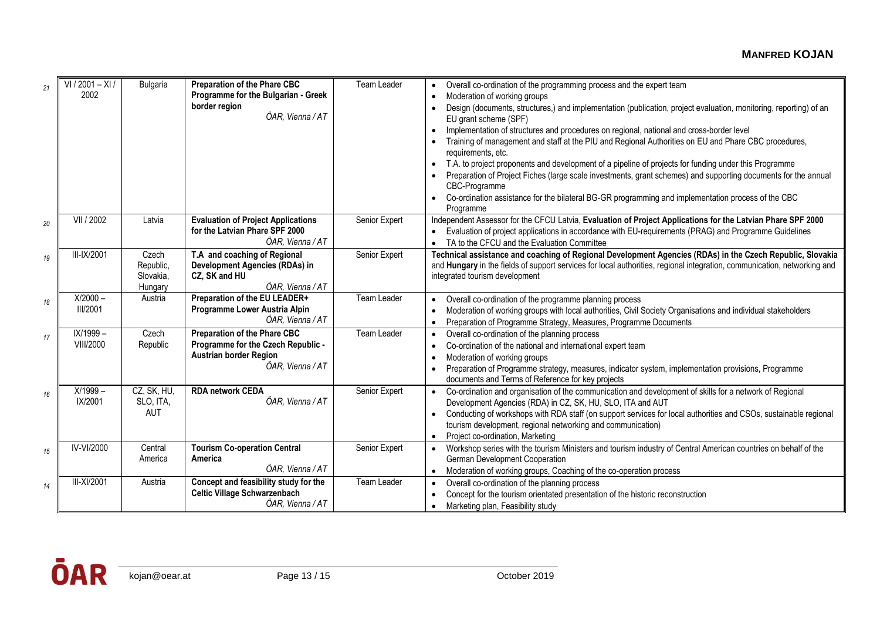| 21 | $VI / 2001 - XI /$<br>2002    | Bulgaria                 | Preparation of the Phare CBC<br>Programme for the Bulgarian - Greek | <b>Team Leader</b> | Overall co-ordination of the programming process and the expert team                                                                                                                                       |
|----|-------------------------------|--------------------------|---------------------------------------------------------------------|--------------------|------------------------------------------------------------------------------------------------------------------------------------------------------------------------------------------------------------|
|    |                               |                          | border region                                                       |                    | Moderation of working groups<br>$\bullet$<br>Design (documents, structures,) and implementation (publication, project evaluation, monitoring, reporting) of an<br>$\bullet$                                |
|    |                               |                          | ÖAR, Vienna / AT                                                    |                    | EU grant scheme (SPF)                                                                                                                                                                                      |
|    |                               |                          |                                                                     |                    | Implementation of structures and procedures on regional, national and cross-border level<br>$\bullet$                                                                                                      |
|    |                               |                          |                                                                     |                    | Training of management and staff at the PIU and Regional Authorities on EU and Phare CBC procedures,<br>requirements, etc.                                                                                 |
|    |                               |                          |                                                                     |                    | T.A. to project proponents and development of a pipeline of projects for funding under this Programme<br>$\bullet$                                                                                         |
|    |                               |                          |                                                                     |                    | Preparation of Project Fiches (large scale investments, grant schemes) and supporting documents for the annual<br>CBC-Programme                                                                            |
|    |                               |                          |                                                                     |                    | Co-ordination assistance for the bilateral BG-GR programming and implementation process of the CBC<br>Programme                                                                                            |
| 20 | VII / 2002                    | Latvia                   | <b>Evaluation of Project Applications</b>                           | Senior Expert      | Independent Assessor for the CFCU Latvia, Evaluation of Project Applications for the Latvian Phare SPF 2000                                                                                                |
|    |                               |                          | for the Latvian Phare SPF 2000<br>ÖAR. Vienna / AT                  |                    | Evaluation of project applications in accordance with EU-requirements (PRAG) and Programme Guidelines<br>• TA to the CFCU and the Evaluation Committee                                                     |
|    | III-IX/2001                   | Czech                    | T.A and coaching of Regional                                        | Senior Expert      | Technical assistance and coaching of Regional Development Agencies (RDAs) in the Czech Republic, Slovakia                                                                                                  |
| 19 |                               | Republic,                | Development Agencies (RDAs) in                                      |                    | and Hungary in the fields of support services for local authorities, regional integration, communication, networking and                                                                                   |
|    |                               | Slovakia,                | CZ, SK and HU                                                       |                    | integrated tourism development                                                                                                                                                                             |
|    |                               | Hungary                  | ÖAR, Vienna / AT                                                    |                    |                                                                                                                                                                                                            |
| 18 | $X/2000 -$<br><b>III/2001</b> | Austria                  | Preparation of the EU LEADER+<br>Programme Lower Austria Alpin      | Team Leader        | Overall co-ordination of the programme planning process<br>$\bullet$                                                                                                                                       |
|    |                               |                          | ÖAR. Vienna / AT                                                    |                    | Moderation of working groups with local authorities, Civil Society Organisations and individual stakeholders<br>$\bullet$<br>Preparation of Programme Strategy, Measures, Programme Documents<br>$\bullet$ |
|    | IX/1999-                      | Czech                    | <b>Preparation of the Phare CBC</b>                                 | <b>Team Leader</b> | Overall co-ordination of the planning process<br>$\bullet$                                                                                                                                                 |
| 17 | VIII/2000                     | Republic                 | Programme for the Czech Republic -                                  |                    | Co-ordination of the national and international expert team<br>$\bullet$                                                                                                                                   |
|    |                               |                          | <b>Austrian border Region</b>                                       |                    | Moderation of working groups<br>$\bullet$                                                                                                                                                                  |
|    |                               |                          | ÖAR, Vienna / AT                                                    |                    | Preparation of Programme strategy, measures, indicator system, implementation provisions, Programme<br>documents and Terms of Reference for key projects                                                   |
| 16 | X/1999-<br>IX/2001            | CZ, SK, HU,<br>SLO, ITA, | <b>RDA network CEDA</b><br>ÖAR, Vienna / AT                         | Senior Expert      | Co-ordination and organisation of the communication and development of skills for a network of Regional<br>Development Agencies (RDA) in CZ, SK, HU, SLO, ITA and AUT                                      |
|    |                               | AUT                      |                                                                     |                    | Conducting of workshops with RDA staff (on support services for local authorities and CSOs, sustainable regional                                                                                           |
|    |                               |                          |                                                                     |                    | tourism development, regional networking and communication)                                                                                                                                                |
|    |                               |                          |                                                                     |                    | Project co-ordination, Marketing<br>$\bullet$                                                                                                                                                              |
| 15 | IV-VI/2000                    | Central                  | <b>Tourism Co-operation Central</b>                                 | Senior Expert      | Workshop series with the tourism Ministers and tourism industry of Central American countries on behalf of the                                                                                             |
|    |                               | America                  | America<br>ÖAR, Vienna / AT                                         |                    | German Development Cooperation                                                                                                                                                                             |
|    | III-XI/2001                   | Austria                  | Concept and feasibility study for the                               | <b>Team Leader</b> | Moderation of working groups, Coaching of the co-operation process<br>$\bullet$<br>Overall co-ordination of the planning process                                                                           |
| 14 |                               |                          | <b>Celtic Village Schwarzenbach</b>                                 |                    | $\bullet$<br>Concept for the tourism orientated presentation of the historic reconstruction<br>$\bullet$                                                                                                   |
|    |                               |                          | ÖAR. Vienna / AT                                                    |                    | Marketing plan, Feasibility study<br>$\bullet$                                                                                                                                                             |

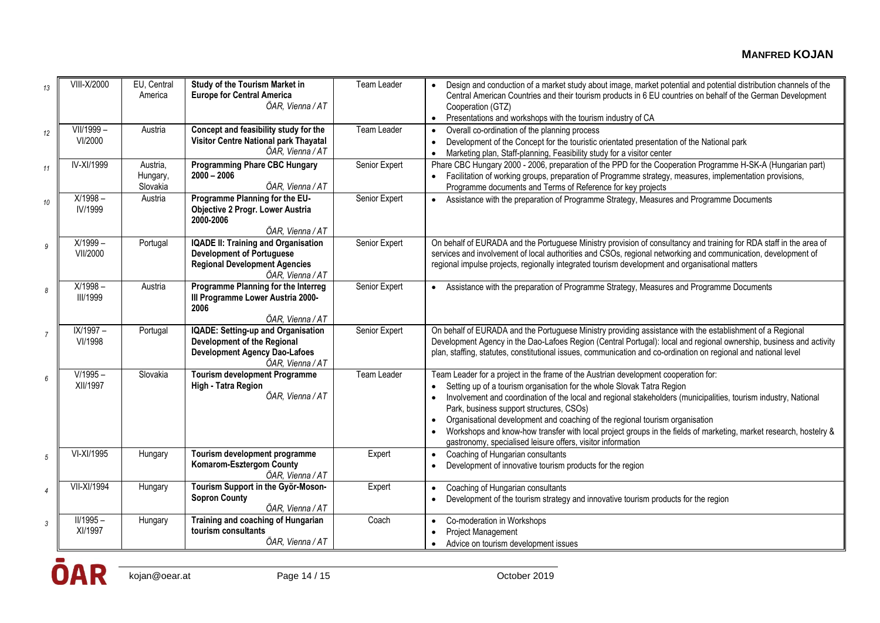| 13               | VIII-X/2000     | EU, Central<br>America | Study of the Tourism Market in<br><b>Europe for Central America</b><br>ÖAR, Vienna / AT | Team Leader   | Design and conduction of a market study about image, market potential and potential distribution channels of the<br>Central American Countries and their tourism products in 6 EU countries on behalf of the German Development<br>Cooperation (GTZ) |
|------------------|-----------------|------------------------|-----------------------------------------------------------------------------------------|---------------|------------------------------------------------------------------------------------------------------------------------------------------------------------------------------------------------------------------------------------------------------|
|                  |                 |                        |                                                                                         |               | Presentations and workshops with the tourism industry of CA<br>$\bullet$                                                                                                                                                                             |
| 12               | VII/1999-       | Austria                | Concept and feasibility study for the                                                   | Team Leader   | Overall co-ordination of the planning process<br>$\bullet$                                                                                                                                                                                           |
|                  | VI/2000         |                        | Visitor Centre National park Thayatal                                                   |               | Development of the Concept for the touristic orientated presentation of the National park<br>$\bullet$                                                                                                                                               |
|                  |                 |                        | ÖAR, Vienna / AT                                                                        |               | Marketing plan, Staff-planning, Feasibility study for a visitor center<br>$\bullet$                                                                                                                                                                  |
| 11               | IV-XI/1999      | Austria,               | <b>Programming Phare CBC Hungary</b>                                                    | Senior Expert | Phare CBC Hungary 2000 - 2006, preparation of the PPD for the Cooperation Programme H-SK-A (Hungarian part)                                                                                                                                          |
|                  |                 | Hungary,               | $2000 - 2006$                                                                           |               | Facilitation of working groups, preparation of Programme strategy, measures, implementation provisions,                                                                                                                                              |
|                  |                 | Slovakia               | ÖAR, Vienna / AT                                                                        |               | Programme documents and Terms of Reference for key projects                                                                                                                                                                                          |
| 10               | $X/1998 -$      | Austria                | Programme Planning for the EU-                                                          | Senior Expert | Assistance with the preparation of Programme Strategy, Measures and Programme Documents<br>$\bullet$                                                                                                                                                 |
|                  | IV/1999         |                        | <b>Objective 2 Progr. Lower Austria</b>                                                 |               |                                                                                                                                                                                                                                                      |
|                  |                 |                        | 2000-2006                                                                               |               |                                                                                                                                                                                                                                                      |
|                  |                 |                        | ÖAR, Vienna / AT                                                                        |               |                                                                                                                                                                                                                                                      |
| 9                | $X/1999 -$      | Portugal               | <b>IQADE II: Training and Organisation</b>                                              | Senior Expert | On behalf of EURADA and the Portuguese Ministry provision of consultancy and training for RDA staff in the area of                                                                                                                                   |
|                  | VII/2000        |                        | <b>Development of Portuguese</b>                                                        |               | services and involvement of local authorities and CSOs, regional networking and communication, development of                                                                                                                                        |
|                  |                 |                        | <b>Regional Development Agencies</b>                                                    |               | regional impulse projects, regionally integrated tourism development and organisational matters                                                                                                                                                      |
|                  |                 |                        | ÖAR, Vienna / AT                                                                        |               |                                                                                                                                                                                                                                                      |
| 8                | X/1998-         | Austria                | Programme Planning for the Interreg                                                     | Senior Expert | • Assistance with the preparation of Programme Strategy, Measures and Programme Documents                                                                                                                                                            |
|                  | <b>III/1999</b> |                        | III Programme Lower Austria 2000-                                                       |               |                                                                                                                                                                                                                                                      |
|                  |                 |                        | 2006                                                                                    |               |                                                                                                                                                                                                                                                      |
|                  |                 |                        | ÖAR, Vienna / AT                                                                        |               |                                                                                                                                                                                                                                                      |
| $\overline{7}$   | IX/1997-        | Portugal               | IQADE: Setting-up and Organisation                                                      | Senior Expert | On behalf of EURADA and the Portuguese Ministry providing assistance with the establishment of a Regional                                                                                                                                            |
|                  | VI/1998         |                        | Development of the Regional                                                             |               | Development Agency in the Dao-Lafoes Region (Central Portugal): local and regional ownership, business and activity                                                                                                                                  |
|                  |                 |                        | <b>Development Agency Dao-Lafoes</b>                                                    |               | plan, staffing, statutes, constitutional issues, communication and co-ordination on regional and national level                                                                                                                                      |
|                  |                 |                        | ÖAR, Vienna / AT                                                                        |               |                                                                                                                                                                                                                                                      |
| $\boldsymbol{6}$ | $V/1995 -$      | Slovakia               | <b>Tourism development Programme</b>                                                    | Team Leader   | Team Leader for a project in the frame of the Austrian development cooperation for:                                                                                                                                                                  |
|                  | XII/1997        |                        | High - Tatra Region                                                                     |               | Setting up of a tourism organisation for the whole Slovak Tatra Region                                                                                                                                                                               |
|                  |                 |                        | ÖAR, Vienna / AT                                                                        |               | Involvement and coordination of the local and regional stakeholders (municipalities, tourism industry, National                                                                                                                                      |
|                  |                 |                        |                                                                                         |               | Park, business support structures, CSOs)                                                                                                                                                                                                             |
|                  |                 |                        |                                                                                         |               | Organisational development and coaching of the regional tourism organisation<br>$\bullet$                                                                                                                                                            |
|                  |                 |                        |                                                                                         |               | Workshops and know-how transfer with local project groups in the fields of marketing, market research, hostelry &<br>$\bullet$                                                                                                                       |
|                  |                 |                        |                                                                                         |               | gastronomy, specialised leisure offers, visitor information                                                                                                                                                                                          |
| $\sqrt{5}$       | VI-XI/1995      | Hungary                | Tourism development programme                                                           | Expert        | Coaching of Hungarian consultants<br>$\bullet$                                                                                                                                                                                                       |
|                  |                 |                        | Komarom-Esztergom County                                                                |               | Development of innovative tourism products for the region<br>$\bullet$                                                                                                                                                                               |
|                  |                 |                        | ÖAR, Vienna / AT                                                                        |               |                                                                                                                                                                                                                                                      |
| $\overline{4}$   | VII-XI/1994     | Hungary                | Tourism Support in the Györ-Moson-                                                      | Expert        | Coaching of Hungarian consultants<br>$\bullet$                                                                                                                                                                                                       |
|                  |                 |                        | <b>Sopron County</b>                                                                    |               | Development of the tourism strategy and innovative tourism products for the region<br>$\bullet$                                                                                                                                                      |
|                  |                 |                        | ÖAR, Vienna / AT                                                                        |               |                                                                                                                                                                                                                                                      |
| $\mathfrak{Z}$   | $II/1995 -$     | Hungary                | Training and coaching of Hungarian                                                      | Coach         | Co-moderation in Workshops<br>$\bullet$                                                                                                                                                                                                              |
|                  | XI/1997         |                        | tourism consultants                                                                     |               | <b>Project Management</b>                                                                                                                                                                                                                            |
|                  |                 |                        | ÖAR, Vienna / AT                                                                        |               | Advice on tourism development issues<br>$\bullet$                                                                                                                                                                                                    |